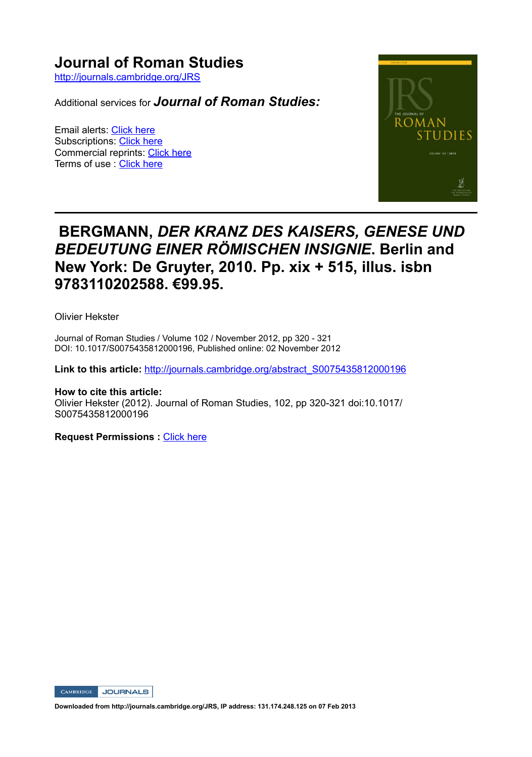## **Journal of Roman Studies**

http://journals.cambridge.org/JRS

Additional services for *Journal of Roman Studies:*

Email alerts: Click here Subscriptions: Click here Commercial reprints: Click here Terms of use : Click here



# **BERGMANN,** *DER KRANZ DES KAISERS, GENESE UND BEDEUTUNG EINER RÖMISCHEN INSIGNIE***. Berlin and New York: De Gruyter, 2010. Pp. xix + 515, illus. isbn 9783110202588. €99.95.**

Olivier Hekster

Journal of Roman Studies / Volume 102 / November 2012, pp 320 - 321 DOI: 10.1017/S0075435812000196, Published online: 02 November 2012

**Link to this article:** http://journals.cambridge.org/abstract\_S0075435812000196

**How to cite this article:** Olivier Hekster (2012). Journal of Roman Studies, 102, pp 320-321 doi:10.1017/ S0075435812000196

**Request Permissions : Click here** 

CAMBRIDGE JOURNALS

**Downloaded from http://journals.cambridge.org/JRS, IP address: 131.174.248.125 on 07 Feb 2013**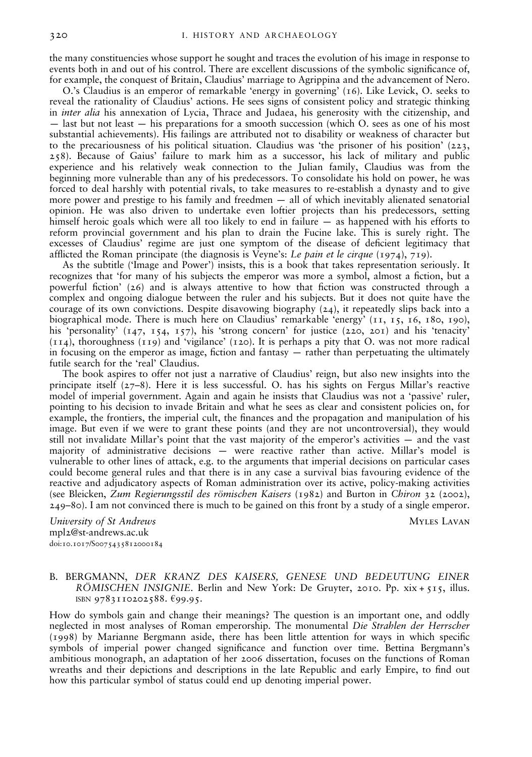the many constituencies whose support he sought and traces the evolution of his image in response to events both in and out of his control. There are excellent discussions of the symbolic significance of, for example, the conquest of Britain, Claudius' marriage to Agrippina and the advancement of Nero.

O.'s Claudius is an emperor of remarkable 'energy in governing' (16). Like Levick, O. seeks to reveal the rationality of Claudius' actions. He sees signs of consistent policy and strategic thinking in *inter alia* his annexation of Lycia, Thrace and Judaea, his generosity with the citizenship, and — last but not least — his preparations for a smooth succession (which O. sees as one of his most substantial achievements). His failings are attributed not to disability or weakness of character but to the precariousness of his political situation. Claudius was 'the prisoner of his position'  $(223, 123)$ 258). Because of Gaius' failure to mark him as a successor, his lack of military and public experience and his relatively weak connection to the Julian family, Claudius was from the beginning more vulnerable than any of his predecessors. To consolidate his hold on power, he was forced to deal harshly with potential rivals, to take measures to re-establish a dynasty and to give more power and prestige to his family and freedmen — all of which inevitably alienated senatorial opinion. He was also driven to undertake even loftier projects than his predecessors, setting himself heroic goals which were all too likely to end in failure — as happened with his efforts to reform provincial government and his plan to drain the Fucine lake. This is surely right. The excesses of Claudius' regime are just one symptom of the disease of deficient legitimacy that afflicted the Roman principate (the diagnosis is Veyne's: Le pain et le cirque  $(1974)$ , 719).

As the subtitle ('Image and Power') insists, this is a book that takes representation seriously. It recognizes that 'for many of his subjects the emperor was more a symbol, almost a fiction, but a powerful fiction'  $(26)$  and is always attentive to how that fiction was constructed through a complex and ongoing dialogue between the ruler and his subjects. But it does not quite have the courage of its own convictions. Despite disavowing biography (24), it repeatedly slips back into a biographical mode. There is much here on Claudius' remarkable 'energy' (11, 15, 16, 180, 190), his 'personality' (147, 154, 157), his 'strong concern' for justice (220, 201) and his 'tenacity' (114), thoroughness (119) and 'vigilance' (120). It is perhaps a pity that O. was not more radical in focusing on the emperor as image, fiction and fantasy  $-$  rather than perpetuating the ultimately futile search for the 'real' Claudius.

The book aspires to offer not just a narrative of Claudius' reign, but also new insights into the principate itself (27–8). Here it is less successful. O. has his sights on Fergus Millar's reactive model of imperial government. Again and again he insists that Claudius was not a 'passive' ruler, pointing to his decision to invade Britain and what he sees as clear and consistent policies on, for example, the frontiers, the imperial cult, the finances and the propagation and manipulation of his image. But even if we were to grant these points (and they are not uncontroversial), they would still not invalidate Millar's point that the vast majority of the emperor's activities — and the vast majority of administrative decisions — were reactive rather than active. Millar's model is vulnerable to other lines of attack, e.g. to the arguments that imperial decisions on particular cases could become general rules and that there is in any case a survival bias favouring evidence of the reactive and adjudicatory aspects of Roman administration over its active, policy-making activities (see Bleicken, Zum Regierungsstil des römischen Kaisers (1982) and Burton in Chiron 32 (2002), 249–80). I am not convinced there is much to be gained on this front by a study of a single emperor.

University of St Andrews and the University of St Andrews Myles Lavan mpl2@st-andrews.ac.uk doi:10.1017/S0075435812000184

### B. BERGMANN, DER KRANZ DES KAISERS, GENESE UND BEDEUTUNG EINER RÖMISCHEN INSIGNIE. Berlin and New York: De Gruyter, 2010. Pp.  $xix + 515$ , illus. ISBN 9783110202588. €99.95.

How do symbols gain and change their meanings? The question is an important one, and oddly neglected in most analyses of Roman emperorship. The monumental Die Strahlen der Herrscher (1998) by Marianne Bergmann aside, there has been little attention for ways in which specic symbols of imperial power changed significance and function over time. Bettina Bergmann's ambitious monograph, an adaptation of her 2006 dissertation, focuses on the functions of Roman wreaths and their depictions and descriptions in the late Republic and early Empire, to find out how this particular symbol of status could end up denoting imperial power.